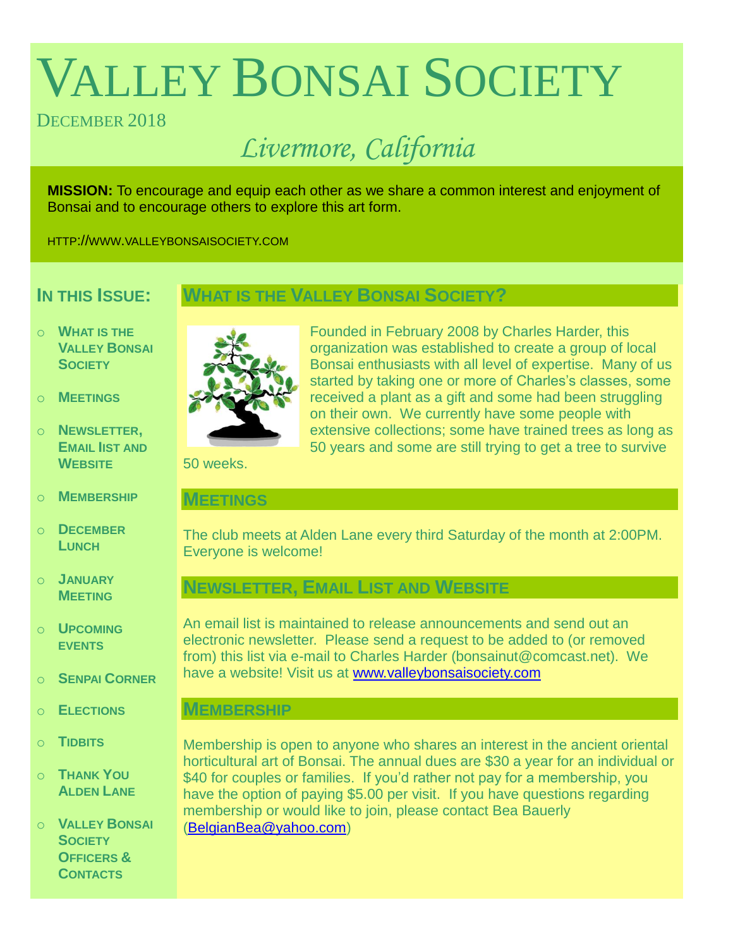# VALLEY BONSAI SOCIETY

# DECEMBER 2018

# *Livermore, California*

**MISSION:** To encourage and equip each other as we share a common interest and enjoyment of Bonsai and to encourage others to explore this art form.

HTTP://WWW.VALLEYBONSAISOCIETY.COM

# **IN THIS ISSUE:**

# **WHAT IS THE VALLEY BONSAI SOCIETY?**

- o **WHAT IS THE VALLEY BONSAI SOCIETY**
- o **MEETINGS**
- o **NEWSLETTER, EMAIL IIST AND WEBSITE**
- o **MEMBERSHIP**
- o **DECEMBER LUNCH**
- o **JANUARY MEETING**
- o **UPCOMING EVENTS**
- o **SENPAI CORNER**
- o **ELECTIONS**
- o **TIDBITS**
- o **THANK YOU ALDEN LANE**

o **VALLEY BONSAI SOCIETY OFFICERS & CONTACTS**



Founded in February 2008 by Charles Harder, this organization was established to create a group of local Bonsai enthusiasts with all level of expertise. Many of us started by taking one or more of Charles's classes, some received a plant as a gift and some had been struggling on their own. We currently have some people with extensive collections; some have trained trees as long as 50 years and some are still trying to get a tree to survive

50 weeks.

# **MEETINGS**

The club meets at Alden Lane every third Saturday of the month at 2:00PM. Everyone is welcome!

# **NEWSLETTER, EMAIL LIST AND WEBSITE**

An email list is maintained to release announcements and send out an electronic newsletter. Please send a request to be added to (or removed from) this list via e-mail to Charles Harder (bonsainut@comcast.net). We have a website! Visit us at [www.valleybonsaisociety.com](http://www.valleybonsaisociety.com/)

# **MEMBERSHIP**

Membership is open to anyone who shares an interest in the ancient oriental horticultural art of Bonsai. The annual dues are \$30 a year for an individual or \$40 for couples or families. If you'd rather not pay for a membership, you have the option of paying \$5.00 per visit. If you have questions regarding membership or would like to join, please contact Bea Bauerly [\(BelgianBea@yahoo.com\)](mailto:BelgianBea@yahoo.com)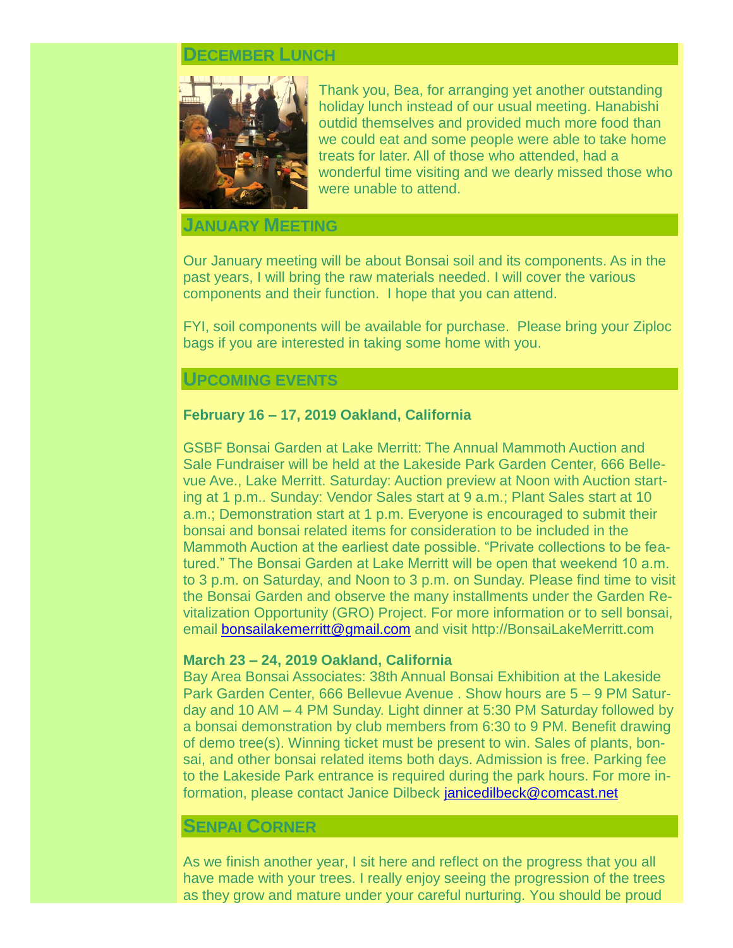# **DECEMBER LUNCH**



Thank you, Bea, for arranging yet another outstanding holiday lunch instead of our usual meeting. Hanabishi outdid themselves and provided much more food than we could eat and some people were able to take home treats for later. All of those who attended, had a wonderful time visiting and we dearly missed those who were unable to attend.

#### **JANUARY MEETING**

Our January meeting will be about Bonsai soil and its components. As in the past years, I will bring the raw materials needed. I will cover the various components and their function. I hope that you can attend.

FYI, soil components will be available for purchase. Please bring your Ziploc bags if you are interested in taking some home with you.

#### **UPCOMING EVENTS**

#### **February 16 – 17, 2019 Oakland, California**

GSBF Bonsai Garden at Lake Merritt: The Annual Mammoth Auction and Sale Fundraiser will be held at the Lakeside Park Garden Center, 666 Bellevue Ave., Lake Merritt. Saturday: Auction preview at Noon with Auction starting at 1 p.m.. Sunday: Vendor Sales start at 9 a.m.; Plant Sales start at 10 a.m.; Demonstration start at 1 p.m. Everyone is encouraged to submit their bonsai and bonsai related items for consideration to be included in the Mammoth Auction at the earliest date possible. "Private collections to be featured." The Bonsai Garden at Lake Merritt will be open that weekend 10 a.m. to 3 p.m. on Saturday, and Noon to 3 p.m. on Sunday. Please find time to visit the Bonsai Garden and observe the many installments under the Garden Revitalization Opportunity (GRO) Project. For more information or to sell bonsai, email [bonsailakemerritt@gmail.com](mailto:bonsailakemerritt@gmail.com) and visit [http://BonsaiLakeMerritt.com](http://bonsailakemerritt.com./)

#### **March 23 – 24, 2019 Oakland, California**

Bay Area Bonsai Associates: 38th Annual Bonsai Exhibition at the Lakeside Park Garden Center, 666 Bellevue Avenue . Show hours are 5 – 9 PM Saturday and 10 AM – 4 PM Sunday. Light dinner at 5:30 PM Saturday followed by a bonsai demonstration by club members from 6:30 to 9 PM. Benefit drawing of demo tree(s). Winning ticket must be present to win. Sales of plants, bonsai, and other bonsai related items both days. Admission is free. Parking fee to the Lakeside Park entrance is required during the park hours. For more information, please contact Janice Dilbeck [janicedilbeck@comcast.net](mailto:janicedilbeck@comcast.net)

#### **SENPAI CORNER**

As we finish another year, I sit here and reflect on the progress that you all have made with your trees. I really enjoy seeing the progression of the trees as they grow and mature under your careful nurturing. You should be proud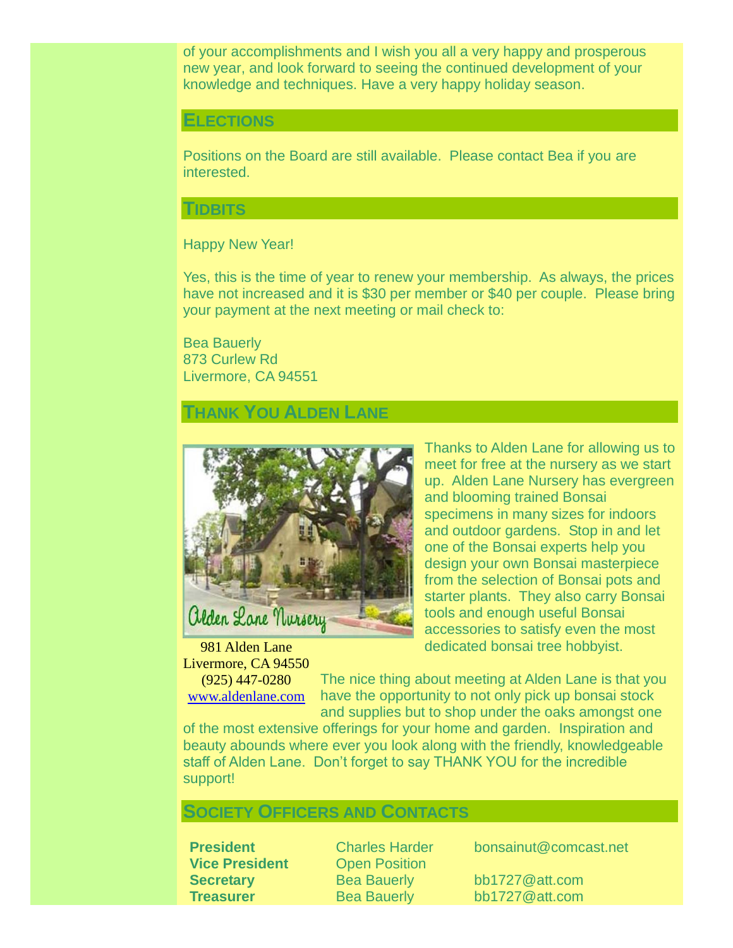of your accomplishments and I wish you all a very happy and prosperous new year, and look forward to seeing the continued development of your knowledge and techniques. Have a very happy holiday season.

#### **ELECTIONS**

Positions on the Board are still available. Please contact Bea if you are interested.

#### **TIDBITS**

#### Happy New Year!

Yes, this is the time of year to renew your membership. As always, the prices have not increased and it is \$30 per member or \$40 per couple. Please bring your payment at the next meeting or mail check to:

Bea Bauerly 873 Curlew Rd Livermore, CA 94551

# **THANK YOU ALDEN LANE**



981 Alden Lane Livermore, CA 94550 (925) 447-0280 [www.aldenlane.com](http://www.aldenlane.com/)

Thanks to Alden Lane for allowing us to meet for free at the nursery as we start up. Alden Lane Nursery has evergreen and blooming trained Bonsai specimens in many sizes for indoors and outdoor gardens. Stop in and let one of the Bonsai experts help you design your own Bonsai masterpiece from the selection of Bonsai pots and starter plants. They also carry Bonsai tools and enough useful Bonsai accessories to satisfy even the most dedicated bonsai tree hobbyist.

The nice thing about meeting at Alden Lane is that you have the opportunity to not only pick up bonsai stock and supplies but to shop under the oaks amongst one

of the most extensive offerings for your home and garden. Inspiration and beauty abounds where ever you look along with the friendly, knowledgeable staff of Alden Lane. Don't forget to say THANK YOU for the incredible support!

### **SOCIETY OFFICERS AND CONTACTS**

**President** Charles Harder bonsainut@comcast.net<br> **Vice President** Open Position **Open Position** 

**Secretary** Bea Bauerly bb1727@att.com **Treasurer** Bea Bauerly bb1727@att.com